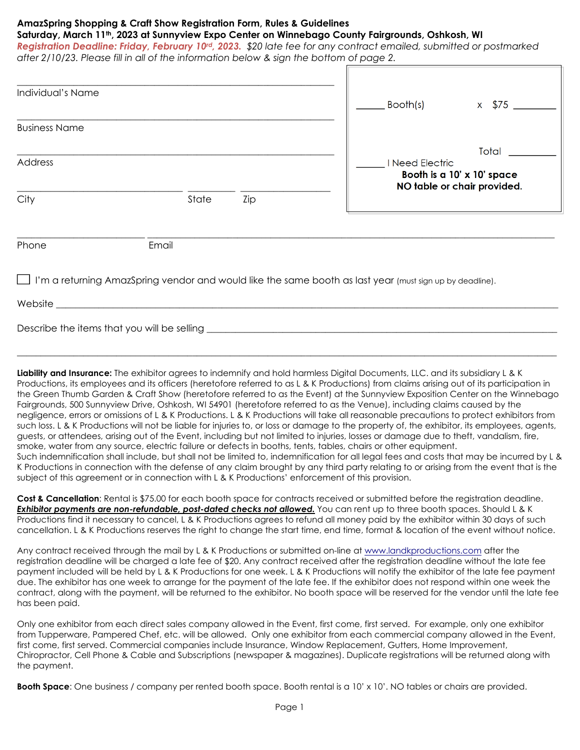## **AmazSpring Shopping & Craft Show Registration Form, Rules & Guidelines**

**Saturday, March 11th, 2023 at Sunnyview Expo Center on Winnebago County Fairgrounds, Oshkosh, WI** 

*Registration Deadline: Friday, February 10rd, 2023. \$20 late fee for any contract emailed, submitted or postmarked after 2/10/23. Please fill in all of the information below & sign the bottom of page 2.*

| Individual's Name    |       |     | Booth(s)                                                                              | \$75<br>$\mathsf{X}$ |
|----------------------|-------|-----|---------------------------------------------------------------------------------------|----------------------|
| <b>Business Name</b> |       |     |                                                                                       |                      |
| Address              |       |     | Total<br>I Need Electric<br>Booth is a 10' x 10' space<br>NO table or chair provided. |                      |
| City                 | State | Zip |                                                                                       |                      |
| Phone                | Email |     |                                                                                       |                      |

I'm a returning AmazSpring vendor and would like the same booth as last year (must sign up by deadline).

Website \_\_\_\_\_\_\_\_\_\_\_\_\_\_\_\_\_\_\_\_\_\_\_\_\_\_\_\_\_\_\_\_\_\_\_\_\_\_\_\_\_**\_\_\_\_\_\_\_\_\_\_\_\_\_\_\_\_\_\_\_\_\_\_\_\_\_\_\_\_\_\_\_\_\_\_\_\_\_\_\_\_\_\_\_\_\_\_\_\_\_\_\_\_\_\_\_\_\_\_\_\_\_\_\_\_\_** 

Describe the items that you will be selling \_\_\_\_\_\_\_\_\_**\_\_\_\_\_\_\_\_\_\_\_\_\_\_\_\_\_\_\_\_\_\_\_\_\_\_\_\_\_\_\_\_\_\_\_\_\_\_\_\_\_\_\_\_\_\_\_\_\_\_\_\_\_\_\_\_\_\_\_\_\_\_\_\_\_** 

**Liability and Insurance:** The exhibitor agrees to indemnify and hold harmless Digital Documents, LLC. and its subsidiary L & K Productions, its employees and its officers (heretofore referred to as L & K Productions) from claims arising out of its participation in the Green Thumb Garden & Craft Show (heretofore referred to as the Event) at the Sunnyview Exposition Center on the Winnebago Fairgrounds, 500 Sunnyview Drive, Oshkosh, WI 54901 (heretofore referred to as the Venue), including claims caused by the negligence, errors or omissions of L & K Productions. L & K Productions will take all reasonable precautions to protect exhibitors from such loss. L & K Productions will not be liable for injuries to, or loss or damage to the property of, the exhibitor, its employees, agents, guests, or attendees, arising out of the Event, including but not limited to injuries, losses or damage due to theft, vandalism, fire, smoke, water from any source, electric failure or defects in booths, tents, tables, chairs or other equipment. Such indemnification shall include, but shall not be limited to, indemnification for all legal fees and costs that may be incurred by L & K Productions in connection with the defense of any claim brought by any third party relating to or arising from the event that is the subject of this agreement or in connection with L & K Productions' enforcement of this provision.

**\_\_\_\_\_\_\_\_\_\_\_\_\_\_\_\_\_\_\_\_\_\_\_\_\_\_\_\_\_\_\_\_\_\_\_\_\_\_\_\_\_\_\_\_\_\_\_\_\_\_\_\_\_\_\_\_\_\_\_\_\_\_\_\_\_\_\_\_\_\_\_\_\_\_\_\_\_\_\_\_\_\_\_\_\_\_\_\_\_\_\_\_\_\_\_\_\_\_\_\_\_\_\_\_\_\_\_\_\_\_\_\_\_\_** 

Cost & Cancellation: Rental is \$75.00 for each booth space for contracts received or submitted before the registration deadline. *Exhibitor payments are non-refundable, post-dated checks not allowed.* You can rent up to three booth spaces. Should L & K Productions find it necessary to cancel, L & K Productions agrees to refund all money paid by the exhibitor within 30 days of such cancellation. L & K Productions reserves the right to change the start time, end time, format & location of the event without notice.

Any contract received through the mail by L & K Productions or submitted on-line at www.landkproductions.com after the registration deadline will be charged a late fee of \$20. Any contract received after the registration deadline without the late fee payment included will be held by L & K Productions for one week. L & K Productions will notify the exhibitor of the late fee payment due. The exhibitor has one week to arrange for the payment of the late fee. If the exhibitor does not respond within one week the contract, along with the payment, will be returned to the exhibitor. No booth space will be reserved for the vendor until the late fee has been paid.

Only one exhibitor from each direct sales company allowed in the Event, first come, first served. For example, only one exhibitor from Tupperware, Pampered Chef, etc. will be allowed. Only one exhibitor from each commercial company allowed in the Event, first come, first served. Commercial companies include Insurance, Window Replacement, Gutters, Home Improvement, Chiropractor, Cell Phone & Cable and Subscriptions (newspaper & magazines). Duplicate registrations will be returned along with the payment.

**Booth Space**: One business / company per rented booth space. Booth rental is a 10' x 10'. NO tables or chairs are provided.